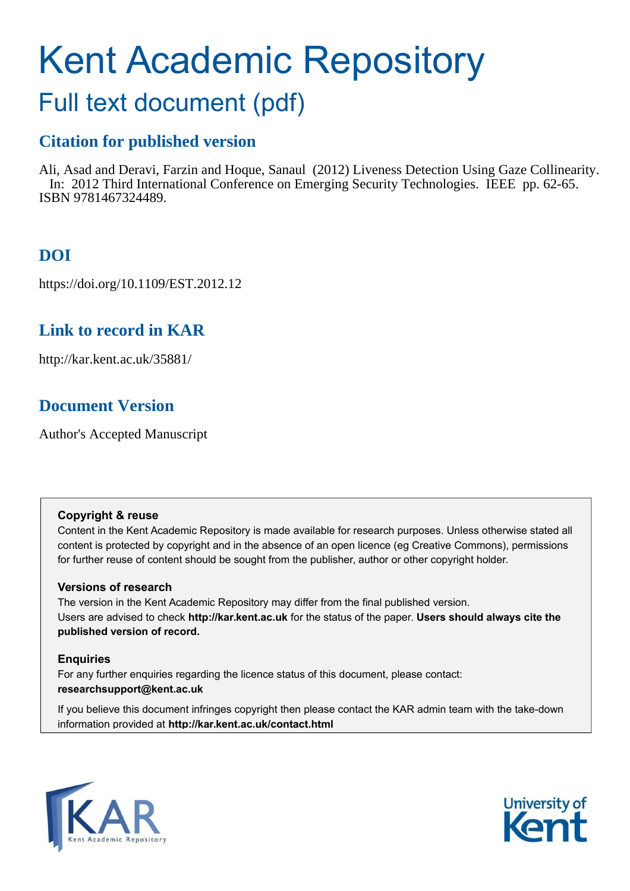# Kent Academic Repository

## Full text document (pdf)

### **Citation for published version**

Ali, Asad and Deravi, Farzin and Hoque, Sanaul (2012) Liveness Detection Using Gaze Collinearity. In: 2012 Third International Conference on Emerging Security Technologies. IEEE pp. 62-65. ISBN 9781467324489.

## **DOI**

https://doi.org/10.1109/EST.2012.12

## **Link to record in KAR**

http://kar.kent.ac.uk/35881/

## **Document Version**

Author's Accepted Manuscript

#### **Copyright & reuse**

Content in the Kent Academic Repository is made available for research purposes. Unless otherwise stated all content is protected by copyright and in the absence of an open licence (eg Creative Commons), permissions for further reuse of content should be sought from the publisher, author or other copyright holder.

#### **Versions of research**

The version in the Kent Academic Repository may differ from the final published version. Users are advised to check **http://kar.kent.ac.uk** for the status of the paper. **Users should always cite the published version of record.**

#### **Enquiries**

For any further enquiries regarding the licence status of this document, please contact: **researchsupport@kent.ac.uk**

If you believe this document infringes copyright then please contact the KAR admin team with the take-down information provided at **http://kar.kent.ac.uk/contact.html**



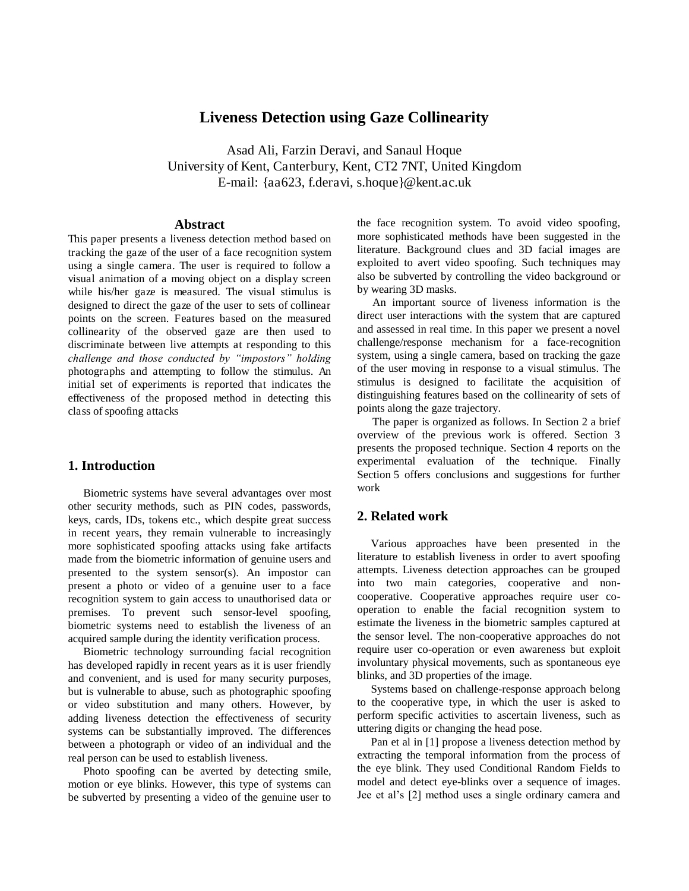#### **Liveness Detection using Gaze Collinearity**

Asad Ali, Farzin Deravi, and Sanaul Hoque University of Kent, Canterbury, Kent, CT2 7NT, United Kingdom E-mail: {aa623, f.deravi, s.hoque}@kent.ac.uk

#### **Abstract**

This paper presents a liveness detection method based on tracking the gaze of the user of a face recognition system using a single camera. The user is required to follow a visual animation of a moving object on a display screen while his/her gaze is measured. The visual stimulus is designed to direct the gaze of the user to sets of collinear points on the screen. Features based on the measured collinearity of the observed gaze are then used to discriminate between live attempts at responding to this *challenge and those conducted by "impostors" holding*  photographs and attempting to follow the stimulus. An initial set of experiments is reported that indicates the effectiveness of the proposed method in detecting this class of spoofing attacks

#### **1. Introduction**

Biometric systems have several advantages over most other security methods, such as PIN codes, passwords, keys, cards, IDs, tokens etc., which despite great success in recent years, they remain vulnerable to increasingly more sophisticated spoofing attacks using fake artifacts made from the biometric information of genuine users and presented to the system sensor(s). An impostor can present a photo or video of a genuine user to a face recognition system to gain access to unauthorised data or premises. To prevent such sensor-level spoofing, biometric systems need to establish the liveness of an acquired sample during the identity verification process.

Biometric technology surrounding facial recognition has developed rapidly in recent years as it is user friendly and convenient, and is used for many security purposes, but is vulnerable to abuse, such as photographic spoofing or video substitution and many others. However, by adding liveness detection the effectiveness of security systems can be substantially improved. The differences between a photograph or video of an individual and the real person can be used to establish liveness.

Photo spoofing can be averted by detecting smile, motion or eye blinks. However, this type of systems can be subverted by presenting a video of the genuine user to

the face recognition system. To avoid video spoofing, more sophisticated methods have been suggested in the literature. Background clues and 3D facial images are exploited to avert video spoofing. Such techniques may also be subverted by controlling the video background or by wearing 3D masks.

An important source of liveness information is the direct user interactions with the system that are captured and assessed in real time. In this paper we present a novel challenge/response mechanism for a face-recognition system, using a single camera, based on tracking the gaze of the user moving in response to a visual stimulus. The stimulus is designed to facilitate the acquisition of distinguishing features based on the collinearity of sets of points along the gaze trajectory.

The paper is organized as follows. In Section 2 a brief overview of the previous work is offered. Section 3 presents the proposed technique. Section 4 reports on the experimental evaluation of the technique. Finally Section 5 offers conclusions and suggestions for further work

#### **2. Related work**

Various approaches have been presented in the literature to establish liveness in order to avert spoofing attempts. Liveness detection approaches can be grouped into two main categories, cooperative and noncooperative. Cooperative approaches require user cooperation to enable the facial recognition system to estimate the liveness in the biometric samples captured at the sensor level. The non-cooperative approaches do not require user co-operation or even awareness but exploit involuntary physical movements, such as spontaneous eye blinks, and 3D properties of the image.

Systems based on challenge-response approach belong to the cooperative type, in which the user is asked to perform specific activities to ascertain liveness, such as uttering digits or changing the head pose.

Pan et al in [1] propose a liveness detection method by extracting the temporal information from the process of the eye blink. They used Conditional Random Fields to model and detect eye-blinks over a sequence of images. Jee et al's [2] method uses a single ordinary camera and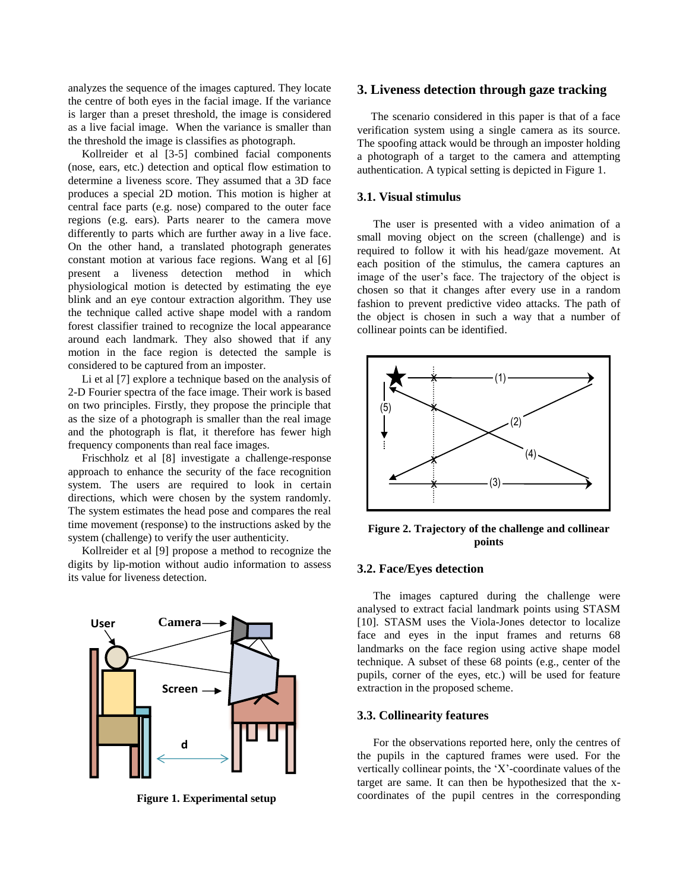analyzes the sequence of the images captured. They locate the centre of both eyes in the facial image. If the variance is larger than a preset threshold, the image is considered as a live facial image. When the variance is smaller than the threshold the image is classifies as photograph.

Kollreider et al [3-5] combined facial components (nose, ears, etc.) detection and optical flow estimation to determine a liveness score. They assumed that a 3D face produces a special 2D motion. This motion is higher at central face parts (e.g. nose) compared to the outer face regions (e.g. ears). Parts nearer to the camera move differently to parts which are further away in a live face. On the other hand, a translated photograph generates constant motion at various face regions. Wang et al [6] present a liveness detection method in which physiological motion is detected by estimating the eye blink and an eye contour extraction algorithm. They use the technique called active shape model with a random forest classifier trained to recognize the local appearance around each landmark. They also showed that if any motion in the face region is detected the sample is considered to be captured from an imposter.

Li et al [7] explore a technique based on the analysis of 2-D Fourier spectra of the face image. Their work is based on two principles. Firstly, they propose the principle that as the size of a photograph is smaller than the real image and the photograph is flat, it therefore has fewer high frequency components than real face images.

Frischholz et al [8] investigate a challenge-response approach to enhance the security of the face recognition system. The users are required to look in certain directions, which were chosen by the system randomly. The system estimates the head pose and compares the real time movement (response) to the instructions asked by the system (challenge) to verify the user authenticity.

Kollreider et al [9] propose a method to recognize the digits by lip-motion without audio information to assess its value for liveness detection.



**Figure 1. Experimental setup** 

#### **3. Liveness detection through gaze tracking**

The scenario considered in this paper is that of a face verification system using a single camera as its source. The spoofing attack would be through an imposter holding a photograph of a target to the camera and attempting authentication. A typical setting is depicted in Figure 1.

#### **3.1. Visual stimulus**

The user is presented with a video animation of a small moving object on the screen (challenge) and is required to follow it with his head/gaze movement. At each position of the stimulus, the camera captures an image of the user's face. The trajectory of the object is chosen so that it changes after every use in a random fashion to prevent predictive video attacks. The path of the object is chosen in such a way that a number of collinear points can be identified.



**Figure 2. Trajectory of the challenge and collinear points** 

#### **3.2. Face/Eyes detection**

The images captured during the challenge were analysed to extract facial landmark points using STASM [10]. STASM uses the Viola-Jones detector to localize face and eyes in the input frames and returns 68 landmarks on the face region using active shape model technique. A subset of these 68 points (e.g., center of the pupils, corner of the eyes, etc.) will be used for feature extraction in the proposed scheme.

#### **3.3. Collinearity features**

For the observations reported here, only the centres of the pupils in the captured frames were used. For the vertically collinear points, the 'X'-coordinate values of the target are same. It can then be hypothesized that the xcoordinates of the pupil centres in the corresponding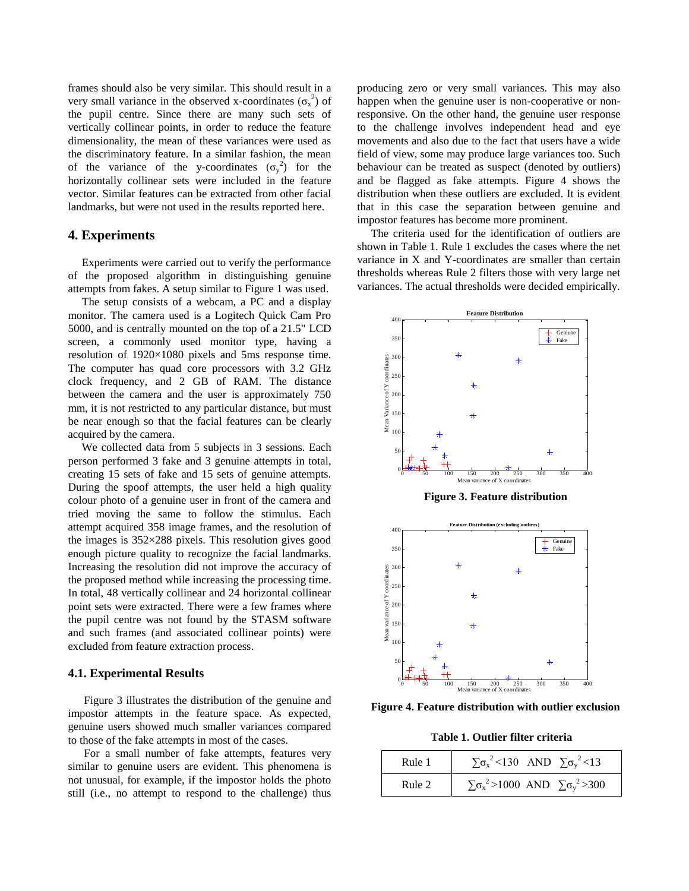frames should also be very similar. This should result in a very small variance in the observed x-coordinates  $(\sigma_x^2)$  of the pupil centre. Since there are many such sets of vertically collinear points, in order to reduce the feature dimensionality, the mean of these variances were used as the discriminatory feature. In a similar fashion, the mean of the variance of the y-coordinates  $(\sigma_y^2)$  for the horizontally collinear sets were included in the feature vector. Similar features can be extracted from other facial landmarks, but were not used in the results reported here.

#### **4. Experiments**

Experiments were carried out to verify the performance of the proposed algorithm in distinguishing genuine attempts from fakes. A setup similar to Figure 1 was used.

The setup consists of a webcam, a PC and a display monitor. The camera used is a Logitech Quick Cam Pro 5000, and is centrally mounted on the top of a 21.5" LCD screen, a commonly used monitor type, having a resolution of 1920×1080 pixels and 5ms response time. The computer has quad core processors with 3.2 GHz clock frequency, and 2 GB of RAM. The distance between the camera and the user is approximately 750 mm, it is not restricted to any particular distance, but must be near enough so that the facial features can be clearly acquired by the camera.

We collected data from 5 subjects in 3 sessions. Each person performed 3 fake and 3 genuine attempts in total, creating 15 sets of fake and 15 sets of genuine attempts. During the spoof attempts, the user held a high quality colour photo of a genuine user in front of the camera and tried moving the same to follow the stimulus. Each attempt acquired 358 image frames, and the resolution of the images is  $352\times288$  pixels. This resolution gives good enough picture quality to recognize the facial landmarks. Increasing the resolution did not improve the accuracy of the proposed method while increasing the processing time. In total, 48 vertically collinear and 24 horizontal collinear point sets were extracted. There were a few frames where the pupil centre was not found by the STASM software and such frames (and associated collinear points) were excluded from feature extraction process.

#### **4.1. Experimental Results**

Figure 3 illustrates the distribution of the genuine and impostor attempts in the feature space. As expected, genuine users showed much smaller variances compared to those of the fake attempts in most of the cases.

For a small number of fake attempts, features very similar to genuine users are evident. This phenomena is not unusual, for example, if the impostor holds the photo still (i.e., no attempt to respond to the challenge) thus

producing zero or very small variances. This may also happen when the genuine user is non-cooperative or nonresponsive. On the other hand, the genuine user response to the challenge involves independent head and eye movements and also due to the fact that users have a wide field of view, some may produce large variances too. Such behaviour can be treated as suspect (denoted by outliers) and be flagged as fake attempts. Figure 4 shows the distribution when these outliers are excluded. It is evident that in this case the separation between genuine and impostor features has become more prominent.

The criteria used for the identification of outliers are shown in Table 1. Rule 1 excludes the cases where the net variance in X and Y-coordinates are smaller than certain thresholds whereas Rule 2 filters those with very large net variances. The actual thresholds were decided empirically.



**Figure 3. Feature distribution** 



**Figure 4. Feature distribution with outlier exclusion** 

**Table 1. Outlier filter criteria** 

| Rule 1 | $\sum \sigma_{x}^{2}$ <130 AND $\sum \sigma_{y}^{2}$ <13     |
|--------|--------------------------------------------------------------|
| Rule 2 | $\sum \sigma_{x}^{2} > 1000$ AND $\sum \sigma_{y}^{2} > 300$ |